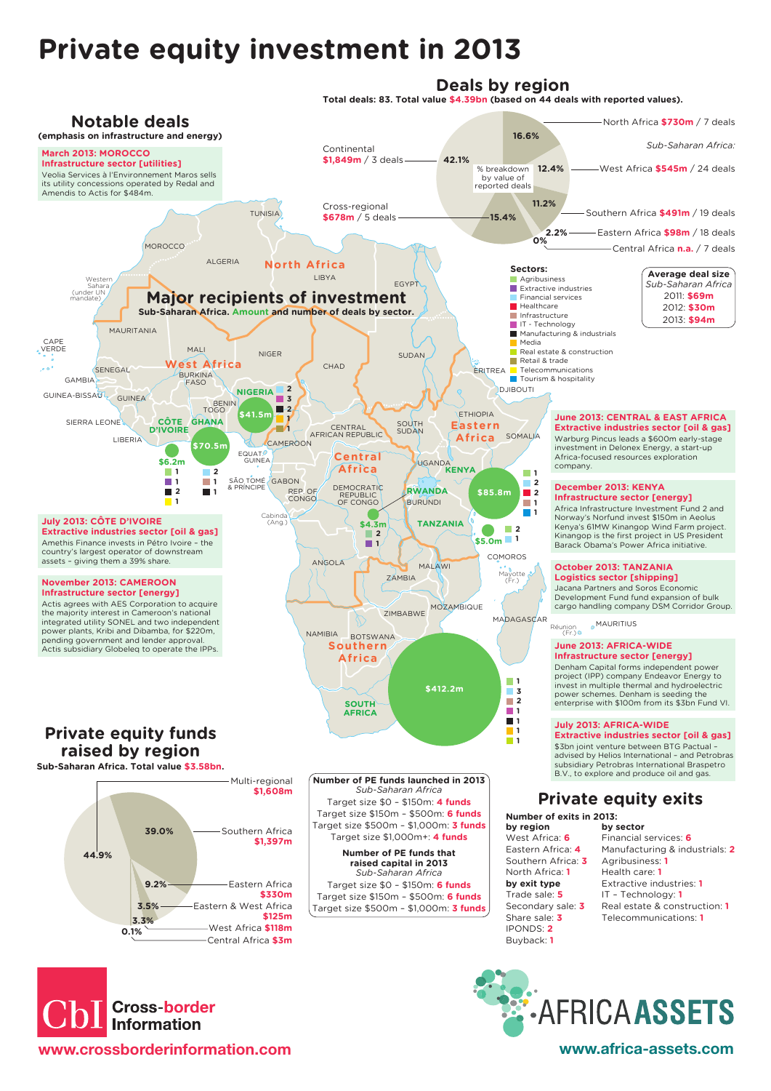## **Private equity investment in 2013**

## **Deals by region**

**Total deals: 83. Total value \$4.39bn (based on 44 deals with reported values).**





**E.AFRICAASSETS**